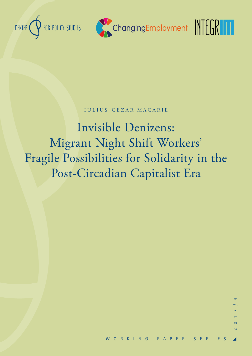





## IULIUS-CEZAR MACARIE

Invisible Denizens: Migrant Night Shift Workers' Fragile Possibilities for Solidarity in the Post-Circadian Capitalist Era

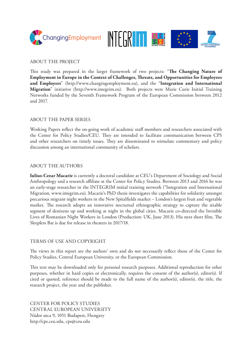



## ABOUT THE PROJECT

This study was prepared in the larger framework of two projects: "**The Changing Nature of Employment in Europe in the Context of Challenges, Threats, and Opportunities for Employees and Employers**" (http://www.changingemployment.eu), and the "**Integration and International Migration**" initiative (http://www.integrim.eu). Both projects were Marie Curie Initial Training Networks funded by the Seventh Framework Program of the European Commission between 2012 and 2017.

### ABOUT THE PAPER SERIES

Working Papers reflect the on-going work of academic staff members and researchers associated with the Center for Policy Studies/CEU. They are intended to facilitate communication between CPS and other researchers on timely issues. They are disseminated to stimulate commentary and policy discussion among an international community of scholars.

## ABOUT THE AUTHORS

**Iulius-Cezar Macarie** is currently a doctoral candidate at CEU's Department of Sociology and Social Anthropology and a research affiliate at the Center for Policy Studies. Between 2013 and 2016 he was an early-stage researcher in the INTEGRIM initial training network ("Integration and International Migration, www.integrim.eu). Macarie's PhD thesis investigates the capabilities for solidarity amongst precarious migrant night workers in the New Spitalfields market – London's largest fruit and vegetable market. The research adopts an innovative nocturnal ethnographic strategy to capture the sizable segment of denizens up and working at night in the global cities. Macarie co-directed the Invisible Lives of Romanian Night Workers in London (Production: UK, June 2013). His next short film, The Sleepless Bat is due for release in theaters in 2017/18.

#### TERMS OF USE AND COPYRIGHT

The views in this report are the authors' own and do not necessarily reflect those of the Center for Policy Studies, Central European University, or the European Commission.

This text may be downloaded only for personal research purposes. Additional reproduction for other purposes, whether in hard copies or electronically, requires the consent of the author(s), editor(s). If cited or quoted, reference should be made to the full name of the author(s), editor(s), the title, the research project, the year and the publisher.

CENTER FOR POLICY STUDIES CENTRAL EUROPEAN UNIVERSITY Nádor utca 9, 1051 Budapest, Hungary http://cps.ceu.edu, cps@ceu.edu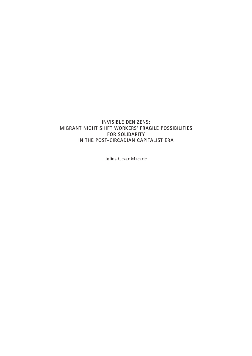## **INVISIBLE DENIZENS: MIGRANT NIGHT SHIFT WORKERS' FRAGILE POSSIBILITIES FOR SOLIDARITY IN THE POST-CIRCADIAN CAPITALIST ERA**

Iulius-Cezar Macarie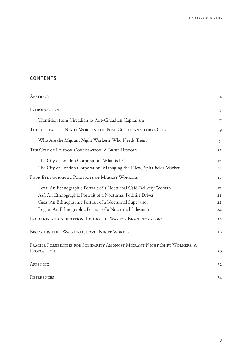## **CONTENTS**

| ABSTRACT                                                                    | $\overline{4}$ |
|-----------------------------------------------------------------------------|----------------|
| <b>INTRODUCTION</b>                                                         | 5              |
| Transition from Circadian to Post-Circadian Capitalism                      | $\overline{7}$ |
| THE INCREASE OF NIGHT WORK IN THE POST-CIRCADIAN GLOBAL CITY                | 9              |
| Who Are the Migrant Night Workers? Who Needs Them?                          | 9              |
| THE CITY OF LONDON CORPORATION: A BRIEF HISTORY                             | I <sub>2</sub> |
| The City of London Corporation: What is It?                                 | I <sub>2</sub> |
| The City of London Corporation: Managing the (New) Spitalfields Market      | 14             |
| FOUR ETHNOGRAPHIC PORTRAITS OF MARKET WORKERS                               | 17             |
| Lexa: An Ethnographic Portrait of a Nocturnal Café Delivery Woman           | 17             |
| Azí: An Ethnographic Portrait of a Nocturnal Forklift Driver                | 2I             |
| Gica: An Ethnographic Portrait of a Nocturnal Supervisor                    | 22             |
| Logan: An Ethnographic Portrait of a Nocturnal Salesman                     | 24             |
| ISOLATION AND ALIENATION: PAVING THE WAY FOR BIO-AUTOMATONS                 | 28             |
| <b>BECOMING THE "WALKING GHOST" NIGHT WORKER</b>                            | 29             |
| FRAGILE POSSIBILITIES FOR SOLIDARITY AMONGST MIGRANT NIGHT SHIFT WORKERS: A |                |
| PROPOSITION                                                                 | 30             |
| APPENDIX                                                                    | 32             |
| REFERENCES                                                                  | 34             |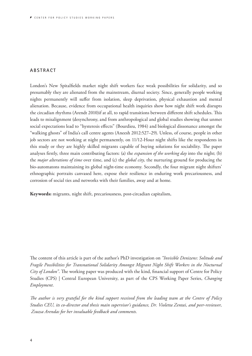## <span id="page-4-0"></span>**A B S T R A C T**

London's New Spitalfields market night shift workers face weak possibilities for solidarity, and so presumably they are alienated from the mainstream, diurnal society. Since, generally people working nights permanently will suffer from isolation, sleep deprivation, physical exhaustion and mental alienation. Because, evidence from occupational health inquiries show how night shift work disrupts the circadian rhythms (Arendt 2010)if at all, to rapid transitions between different shift schedules. This leads to misalignment (desynchrony, and from anthropological and global studies showing that unmet social expectations lead to "hysteresis effects" (Bourdieu, 1984) and biological dissonance amongst the "walking ghosts" of India's call centre agents (Aneesh 2012:527–29). Unless, of course, people in other job sectors are not working at night permanently, on 11/12-Hour night shifts like the respondents in this study or they are highly skilled migrants capable of buying solutions for sociability. The paper analyses firstly, three main contributing factors: (a) the *expansion of the working day* into the night; (b) the *major alterations of time* over time, and (c) the *global city,* the nurturing ground for producing the bio-automatons maintaining its global night-time economy. Secondly, the four migrant night shifters' ethnographic portraits canvased here, expose their resilience in enduring work precariousness, and corrosion of social ties and networks with their families, away and at home.

**Keywords:** migrants, night shift, precariousness, post-circadian capitalism,

The content of this article is part of the author's PhD investigation on *"Invisible Denizens*: *Solitude and Fragile Possibilities for Transnational Solidarity Amongst Migrant Night Shift Workers in the Nocturnal City of London"*. The working paper was produced with the kind, financial support of Centre for Policy Studies (CPS) | Central European University, as part of the CPS Working Paper Series, *Changing Employment*.

*The author is very grateful for the kind support received from the leading team at the Centre of Policy Studies CEU, its co-director and thesis main supervisor's guidance, Dr. Violetta Zentai, and peer-reviewer, Zsuzsa Arendas for her invaluable feedback and comments.*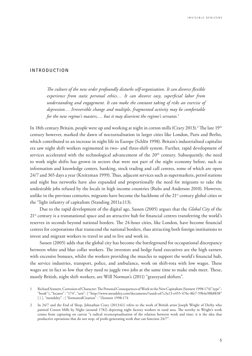#### <span id="page-5-0"></span>**INTRODUCTION**

*The culture of the new order profoundly disturbs self-organisation. It can divorce flexible experience from static personal ethics… It can divorce easy, superficial labor from understanding and engagement. It can make the constant taking of risks an exercise of depression… Irreversible change and multiple, fragmented activity may be comfortable for the new regime's masters,… but it may disorient the regime's servants.*<sup>1</sup>

In 18th century Britain, people were up and working at night in cotton mills (Crary 2013). $^2$  The late 19th century however, marked the dawn of nocturnalisation in larger cities like London, Paris and Berlin, which contributed to an increase in night life in Europe (Schlör 1998). Britain's industrialised capitalist era saw night shift workers regimented in two- and three-shift system. Further, rapid development of services accelerated with the technological advancement of the 20<sup>th</sup> century. Subsequently, the need to work night shifts has grown in sectors that were not part of the night economy before, such as information and knowledge centers, banking, stock trading and call centres, some of which are open 24/7 and 365 days a year (Kreitzman 1999). Thus, adjacent services such as supermarkets, petrol stations and night bus networks have also expanded and proportionally the need for migrants to take the undesirable jobs refused by the locals in high income countries (Ruhs and Anderson 2010). However, unlike in the previous centuries, migrants have become the backbone of the 21<sup>st</sup> century global cities or the "light infantry of capitalism (Standing 2011a:113).

Due to the rapid development of the digital age, Sassen (2005) argues that the *Global City* of the 21<sup>st</sup> century is a transnational space and an attractive hub for financial centres transferring the world's reserves in seconds beyond national borders. The 24-hour cities, like London, have become financial centres for corporations that transcend the national borders, thus attracting both foreign institutions to invest and migrant workers to travel to and to live and work in.

Sassen (2005) adds that the global city has become the battleground for occupational discrepancy between white and blue collar workers. The investors and hedge fund executives are the high earners with excessive bonuses, whilst the workers providing the muscles to support the world's financial hub, the service industries, transport, police, and ambulance, work on shift-rota with low wages. These wages are in fact so low that they need to juggle two jobs at the same time to make ends meet. These, mostly British, night shift workers, are Will Norman's (2011) "graveyard shifters".

<sup>1</sup> Richard Sennett, Corrosion of Character: The Personal Consequences of Work in the New Capitalism (Sennett 1998:174)"type" : "book" }, "locator" : "174", "uris" : [ "http://www.mendeley.com/documents/?uuid=a47c3a13-e455-476c-8fe7-59b4e98b8838" ] } ], "mendeley" : { "formattedCitation" : "(Sennett 1998:174

<sup>2</sup> In 24/7 and the End of Sleep, Johnathan Crary (2013:61) refers to the work of British artist Joseph Wright of Derby who painted Cotton Mills by Night (around 1782) depicting night factory workers in rural area. The novelty in Wright's work comes from capturing on canvas "a radical reconceptualization of the relation between work and time: it is the idea that productive operations that do not stop, of profit-generating work that can function 24/7".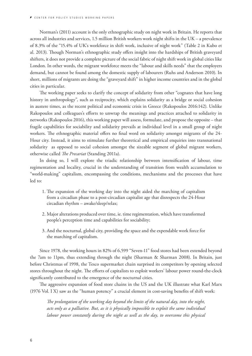Norman's (2011) account is the only ethnographic study on night work in Britain. He reports that across all industries and services, 1.5 million British workers work night shifts in the UK – a prevalence of 8.3% of the "15.4% of UK's workforce in shift work, inclusive of night work" (Table 2 in Kubo et al. 2013). Though Norman's ethnographic study offers insight into the hardships of British graveyard shifters, it does not provide a complete picture of the social fabric of night shift work in global cities like London. In other words, the migrant workforce meets the "labour and skills needs" that the employers demand, but cannot be found among the domestic supply of labourers (Ruhs and Anderson 2010). In short, millions of migrants are doing the "graveyard shift" in higher income countries and in the global cities in particular.

The working paper seeks to clarify the concept of solidarity from other "cognates that have long history in anthropology", such as reciprocity, which explains solidarity as a bridge or social cohesion in austere times, as the recent political and economic crisis in Greece (Rakopoulos 2016:142). Unlike Rakopoulos and colleagues's efforts to unwrap the meanings and practices attached to solidarity in networks (Rakopoulos 2016), this working paper will assess, formulate, and propose the opposite – that fragile capabilities for sociability and solidarity prevails at individual level in a small group of night workers. The ethnographic material offers no final word on solidarity amongst migrants of the 24- Hour city. Instead, it aims to stimulate further theoretical and empirical enquiries into transnational solidarity as opposed to social cohesion amongst the sizeable segment of global migrant workers, otherwise called *The Precariat* (Standing 2011a).

In doing so, I will explore the triadic relationship between intensification of labour, time regimentation and locality, crucial in the understanding of transition from wealth accumulation to "world-making" capitalism, encompassing the conditions, mechanisms and the processes that have led to:

- 1. The expansion of the working day into the night aided the marching of capitalism from a circadian phase to a post-circadian capitalist age that disrespects the 24-Hour circadian rhythm – awake/sleep/relax;
- 2. Major alterations produced over time, ie. time regimentation, which have transformed people's perception time and capabilities for sociability;
- 3. And the nocturnal, global city, providing the space and the expendable work force for the marching of capitalism.

Since 1978, the working hours in 82% of 6,599 "Seven-11" food stores had been extended beyond the 7am to 11pm, thus extending through the night (Sharman & Sharman 2008). In Britain, just before Christmas of 1998, the Tesco supermarket chain surprised its competitors by opening selected stores throughout the night. The efforts of capitalists to exploit workers' labour power round-the-clock significantly contributed to the emergence of the nocturnal cities.

The aggressive expansion of food store chains in the US and the UK illustrate what Karl Marx (1976 Vol. I X) saw as the "human potency" a crucial element in cost-saving benefits of shift work:

*The prolongation of the working day beyond the limits of the natural day, into the night, acts only as a palliative. But, as it is physically impossible to exploit the same individual labour power constantly during the night as well as the day, to overcome this physical*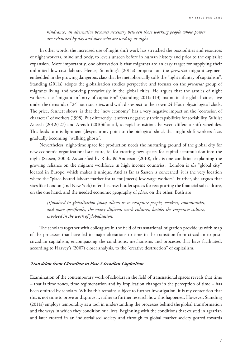<span id="page-7-0"></span>*hindrance, an alternative becomes necessary between those working people whose power are exhausted by day and those who are used up at night.*

In other words, the increased use of night shift work has stretched the possibilities and resources of night workers, mind and body, to levels unseen before in human history and prior to the capitalist expansion. More importantly, one observation is that migrants are an easy target for supplying their unlimited low-cost labour. Hence, Standing's (2011a) proposal on the *precariat* migrant segment embedded in the growing dangerous class that he metaphorically calls the "light infantry of capitalism". Standing (2011a) adopts the globalisation studies perspective and focuses on the *precariat* group of migrants living and working precariously in the global cities. He argues that the armies of night workers, the "migrant infantry of capitalism" (Standing 2011a:113) maintain the global cities, live under the demands of 24-hour societies, and with disrespect to their own 24-Hour physiological clock. The price, Sennett shows, is that the "new economy" has a very negative impact on the "corrosion of character" of workers (1998). Put differently, it affects negatively their capabilities for sociability. Whilst Aneesh (2012:527) and Arendt (2010)if at all, to rapid transitions between different shift schedules. This leads to misalignment (desynchrony point to the biological shock that night shift workers face, gradually becoming "walking ghosts".

Nevertheless, night-time space for production needs the nurturing ground of the global city for new economic organizational structure, ie. for creating new spaces for capital accumulation into the night (Sassen, 2005). As satisfied by Ruhs & Anderson (2010), this is one condition explaining the growing reliance on the migrant workforce in high income countries. London is *the* "global city" located in Europe, which makes it unique. And as far as Sassen is concerned, it is the very location where the "place-bound labour market for talent [meets] low-wage workers". Further, she argues that sites like London (and New York) offer the cross-border spaces for recapturing the financial sub-culture, on the one hand, and the needed economic geography of *place*, on the other. Both are

*[I]nvolved in globalisation [that] allows us to recapture people, workers, communities, and more specifically, the many different work cultures, besides the corporate culture, involved in the work of globalisation.* 

The scholars together with colleagues in the field of transnational migration provide us with map of the processes that have led to major alterations to time in the transition from circadian to postcircadian capitalism, encompassing the conditions, mechanisms and processes that have facilitated, according to Harvey's (2007) closer analysis, to the "creative destruction" of capitalism.

#### **Transition from Circadian to Post-Circadian Capitalism**

Examination of the contemporary work of scholars in the field of transnational spaces reveals that time – that is time zones, time regimentation and by implication changes in the perception of time – has been omitted by scholars. Whilst this remains subject to further investigation, it is my contention that this is not time to prove or disprove it, rather to further research how this happened. However, Standing (2011a) employs temporality as a tool in understanding the processes behind the global transformation and the ways in which they condition our lives. Beginning with the conditions that existed in agrarian and later created in an industrialised society and through to global market society geared towards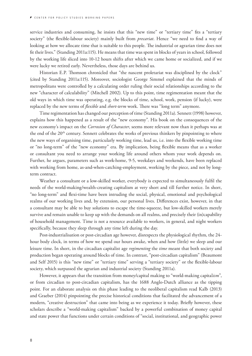service industries and consuming, he insists that this "new time" or "tertiary time" fits a "tertiary society" (the flexible-labour society) mainly built from *precariat*. Hence "we need to find a way of looking at how we allocate time that is suitable to this people. The industrial or agrarian time does not fit their lives." (Standing 2011a:115). He means that time was spent in blocks of years in school, followed by the working life sliced into 10-12 hours shifts after which we came home or socialized, and if we were lucky we retired early. Nevertheless, those days are behind us.

Historian E.P. Thomson chronicled that "the nascent proletariat was disciplined by the clock" (cited by Standing 2011a:115). Moreover, sociologist George Simmel explained that the minds of metropolitans were controlled by a calculating order ruling their social relationships according to the new "character of calculability" (Mitchell 2002). Up to this point, time regimentation meant that the old ways in which time was operating, e.g. the blocks of time, school, work, pension (if lucky), were replaced by the new terms of *flexible* and *short-term* work. There was "long term" anymore.

Time regimentation has changed our perception of time (Standing 2011a). Sennett (1998) however, explains how this happened as a result of the "new economy". His book on the consequences of the new economy's impact on the *Corrosion of Character*, seems more relevant now than it perhaps was at the end of the 20th century. Sennett celebrates the works of previous thinkers by pinpointing to where the new ways of organising time, particularly working time, lead us, i.e. into the flexible working time or "no long-term" of the "new economy" era. By implication, being flexible means that as a worker or consultant you need to arrange your working life around others whom your work depends on. Further, he argues, parameters such as work-home, 9-5, weekdays and weekends, have been replaced with working from home, as-and-when-catching-employment, working by the piece, and not by longterm contract.

Weather a consultant or a low-skilled worker, everybody is expected to simultaneously fulfil the needs of the world-making/wealth-creating capitalism at very short and till further notice. In short, "no long-term" and flexi-time have been intruding the social, physical, emotional and psychological realms of our working lives and, by extension, our personal lives. Differences exist, however, in that a consultant may be able to buy solutions to escape the time-squeeze, but low-skilled workers merely survive and remain unable to keep up with the demands on all realms, and precisely their (in)capability of household management. Time is not a resource available to workers, in general, and night workers specifically, because they sleep through any time left during the day.

Post-industrialisation or post-circadian age however, disrespects the physiological rhythm, the 24 hour body clock, in terms of how we spend our hours awake, when and how (little) we sleep and our leisure time. In short, in the circadian capitalist age *regimenting* the *time* meant that both society and production began operating around blocks of time. In contrast, "post-circadian capitalism" (Beaumont and Self 2015) is this "new time" or "tertiary time" serving a "tertiary society" or the flexible-labour society, which surpassed the agrarian and industrial society (Standing 2011a).

However, it appears that the transition from money/capital making to "world-making capital*ism*", or from circadian to post-circadian capitalism, has the 1688 Anglo-Dutch alliance as the tipping point. For an elaborate analysis on this phase leading to the neoliberal capitalism read Kalb (2013) and Graeber (2014) pinpointing the precise historical conditions that facilitated the advancement of a modern, "creative destruction" that came into being as we experience it today. Briefly however, these scholars describe a "world-making capitalism" backed by a powerful combination of money capital and state power that functions under certain conditions of "social, institutional, and geographic power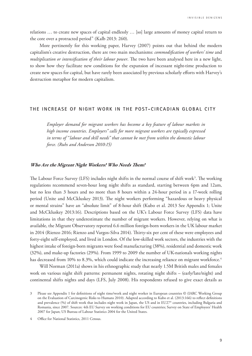<span id="page-9-0"></span>relations … to create new spaces of capital endlessly … [so] large amounts of money capital return to the core over a protracted period" (Kalb 2013: 260).

More pertinently for this working paper, Harvey (2007) points out that behind the modern capitalism's creative destruction, there are two main mechanisms: *commodification of workers' time* and *multiplication or intensification of their labour power*. The two have been analysed here in a new light, to show how they facilitate new conditions for the expansion of incessant night-time production to create new spaces for capital, but have rarely been associated by previous scholarly efforts with Harvey's destruction metaphor for modern capitalism.

#### **THE INCREASE OF NIGHT WORK IN THE POST-CIRCADIAN GLOBAL CITY**

*Employer demand for migrant workers has become a key feature of labour markets in high income countries. Employers" calls for more migrant workers are typically expressed in terms of "labour and skill needs" that cannot be met from within the domestic labour force. (Ruhs and Anderson 2010:15)*

#### **Who Are the Migrant Night Workers? Who Needs Them?**

The Labour Force Survey (LFS) includes night shifts in the normal course of shift work<sup>3</sup>. The working regulations recommend seven-hour long night shifts as standard, starting between 6pm and 12am, but no less than 3 hours and no more than 8 hours within a 24-hour period in a 17-week rolling period (Unite and McCkluskey 2013). The night workers performing "hazardous or heavy physical or mental strains" have an "absolute limit" of 8-hour shift (Kubo et al. 2013 See Appendix 1; Unite and McCkluskey 2013:16). Descriptions based on the UK's Labour Force Survey (LFS) data have limitations in that they underestimate the number of migrant workers. However, relying on what is available, the Migrant Observatory reported 6.6 million foreign-born workers in the UK labour market in 2014 (Rienzo 2016; Rienzo and Vargos-Silva 2014). Thirty-six per cent of these were employees and forty-eight self-employed, and lived in London. Of the low-skilled work sectors, the industries with the highest intake of foreign-born migrants were food manufacturing (38%), residential and domestic work (32%), and make-up factories (29%). From 1999 to 2009 the number of UK-nationals working nights has decreased from 10% to 8.3%, which could indicate the increasing reliance on migrant workforce.<sup>4</sup>

Will Norman (2011a) shows in his ethnographic study that nearly 1.5M British males and females work on various night shift patterns: permanent nights, rotating night shifts – (early/late/night) and continental shifts nights and days (LFS, July 2008). His respondents refused to give exact details as

<sup>3</sup> Please see Appendix 1 for definitions of night time/work and night worker in European countries © (IARC Working Group on the Evaluation of Carcinogenic Risks to Humans 2010). Adapted according to Kubo et al. (2013:166) to reflect definitions and prevalence (%) of shift work that includes night work in Japan, the US and in EU27\* countries, including Bulgaria and Romania, since 2007. Sources: 4th EU Survey on working conditions for EU countries; Survey on State of Employees' Health 2007 for Japan; US Bureau of Labour Statistics 2004 for the United States.

<sup>4</sup> Office for National Statistics, 2011 Census.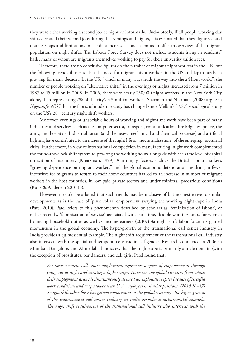they were either working a second job at night or informally. Undoubtedly, if all people working day shifts declared their second jobs during the evenings and nights, it is estimated that these figures could double. Gaps and limitations in the data increase as one attempts to offer an overview of the migrant population on night shifts. The Labour Force Survey does not include students living in residents" halls, many of whom are migrants themselves working to pay for their university tuition fees.

Therefore, there are no conclusive figures on the number of migrant night workers in the UK, but the following trends illustrate that the need for migrant night workers in the US and Japan has been growing for many decades. In the US, "which in many ways leads the way into the 24 hour world", the number of people working on "alternative shifts" in the evenings or nights increased from 7 million in 1987 to 15 million in 2008. In 2005, there were nearly 250,000 night workers in the New York City alone, then representing 7% of the city's 3.3 million workers. Sharman and Sharman (2008) argue in *Nightshifts NYC* that the fabric of modern society has changed since Melbin's (1987) sociological study on the US's 20<sup>th</sup> century night shift workers.

Moreover, evenings or unsociable hours of working and night-time work have been part of many industries and services, such as the computer sector, transport, communication, fire brigades, police, the army, and hospitals. Industrialisation (and the heavy mechanical and chemical processes) and artificial lighting have contributed to an increase of the night life or "nocturnalization" of the emerging nocturnal cities. Furthermore, in view of international competition in manufacturing, night work complemented the round-the-clock shift system to pro-long the working hours alongside with the same level of capital utilization of machinery (Kreitzman, 1999). Alarmingly, factors such as the British labour market's "growing dependence on migrant workers" and the global economic deterioration resulting in fewer incentives for migrants to return to their home countries has led to an increase in number of migrant workers in the host countries, in low paid private sectors and under minimal, precarious conditions (Ruhs & Anderson 2010:15).

However, it could be alluded that such trends may be inclusive of but not restrictive to similar developments as is the case of 'pink collar' employment swaying the working nightscape in India (Patel 2010). Patel refers to this phenomenon described by scholars as 'feminisation of labour', or rather recently, 'feminisation of service', associated with part-time, flexible working hours for women balancing household duties as well as income earners (2010:43)a night shift labor force has gained momentum in the global economy. The hyper-growth of the transnational call center industry in India provides a quintessential example. The night shift requirement of the transnational call industry also intersects with the spatial and temporal construction of gender. Research conducted in 2006 in Mumbai, Bangalore, and Ahmedabad indicates that the nightscape is primarily a male domain (with the exception of prostitutes, bar dancers, and call girls. Patel found that,

*For some women, call center employment represents a space of empowerment through going out at night and earning a higher wage. However, the global circuitry from which their employment draws is simultaneously deemed an exploitative space because of stressful work conditions and wages lower than U.S. employees in similar positions. (2010:16–17) a night shift labor force has gained momentum in the global economy. The hyper-growth of the transnational call center industry in India provides a quintessential example. The night shift requirement of the transnational call industry also intersects with the*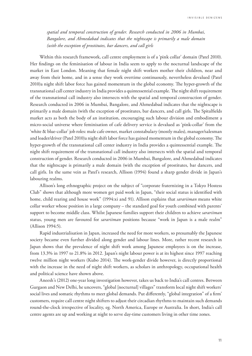*spatial and temporal construction of gender. Research conducted in 2006 in Mumbai, Bangalore, and Ahmedabad indicates that the nightscape is primarily a male domain (with the exception of prostitutes, bar dancers, and call girls*

Within this research framework, call centre employment is of a 'pink collar' domain (Patel 2010). Her findings on the feminisation of labour in India seem to apply to the nocturnal landscape of the market in East London. Meaning that female night shift workers mother their children, near and away from their home, and in a sense they work overtime continuously, nevertheless devalued (Patel 2010)a night shift labor force has gained momentum in the global economy. The hyper-growth of the transnational call center industry in India provides a quintessential example. The night shift requirement of the transnational call industry also intersects with the spatial and temporal construction of gender. Research conducted in 2006 in Mumbai, Bangalore, and Ahmedabad indicates that the nightscape is primarily a male domain (with the exception of prostitutes, bar dancers, and call girls. The Spitalfields market acts as both the body of an institution, encouraging such labour division and embodiment a micro-social universe where feminisation of cafe delivery service is devalued as 'pink-collar' from the 'white & blue-collar' job roles: male cafe owner, market constabulary (mostly males), manager/salesman and loader/driver (Patel 2010)a night shift labor force has gained momentum in the global economy. The hyper-growth of the transnational call center industry in India provides a quintessential example. The night shift requirement of the transnational call industry also intersects with the spatial and temporal construction of gender. Research conducted in 2006 in Mumbai, Bangalore, and Ahmedabad indicates that the nightscape is primarily a male domain (with the exception of prostitutes, bar dancers, and call girls. In the same vein as Patel's research, Allison (1994) found a sharp gender divide in Japan's labouring realms.

Allison's long ethnographic project on the subject of "corporate fraternizing in a Tokyo Hostess Club" shows that although more women get paid work in Japan, "their social status is identified with home, child rearing and house work" (1994:xi and 91). Allison explains that *sarariiman* means white collar worker whose position in a large company – the standard goal for youth combined with parents' support to become middle class. Whilst Japanese families support their children to achieve *sarariiman* status, young men are favoured for *sarariiman* positions because "work in Japan is a male realm" (Allison 1994:5).

Rapid industrialisation in Japan, increased the need for more workers, so presumably the Japanese society became even further divided along gender and labour lines. More, rather recent research in Japan shows that the prevalence of night shift work among Japanese employees is on the increase, from 13.3% in 1997 to 21.8% in 2012. Japan's night labour power is at its highest since 1997 reaching twelve million night workers (Kubo 2014). The work-gender divide however, is directly proportional with the increase in the need of night shift workers, as scholars in anthropology, occupational health and political science have shown above.

Aneesh's (2012) one-year long investigation however, takes us back to India's call centres. Between Gurgaon and New Delhi, he uncovers, "global [nocturnal] villages" transform local night shift workers' social lives and somatic rhythms to meet global demands. Put differently, "global integration" of a firm' customers, require call centre night shifters to adjust their circadian rhythms to maintain such demands round-the-clock irrespective of locality, eg. North America, Europe or Australia. In short, India's call centre agents are up and working at night to serve day-time customers living in other time zones.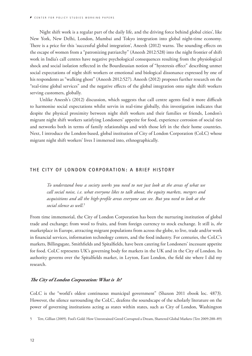<span id="page-12-0"></span>Night shift work is a regular part of the daily life, and the driving force behind global cities', like New York, New Delhi, London, Mumbai and Tokyo integration into global night-time economy. There is a price for this 'successful global integration', Aneesh (2012) warns. The sounding effects on the escape of women from a "patronizing patriarchy" (Aneesh 2012:528) into the night frontier of shift work in India's call centres have negative psychological consequences resulting from the physiological shock and social isolation reflected in the Bourdieusian notion of "hysteresis effect" describing unmet social expectations of night shift workers or emotional and biological dissonance expressed by one of his respondents as "walking ghost" (Aneesh 2012:527). Aneesh (2012) proposes further research on the "real-time global services" and the negative effects of the global integration onto night shift workers serving customers, globally.

Unlike Aneesh's (2012) discussion, which suggests that call centre agents find it more difficult to harmonise social expectations whilst servin in real-time globally, this investigation indicates that despite the physical proximity between night shift workers and their families or friends, London's migrant night shift workers satisfying Londoners' appetite for food, experience corrosion of social ties and networks both in terms of family relationships and with those left in the their home countries. Next, I introduce the London-based, global institution of City of London Corporation (CoLC) whose migrant night shift workers' lives I immersed into, ethnographically.

#### **THE CITY OF LONDON CORPORATION: A BRIEF HISTORY**

*To understand how a society works you need to not just look at the areas of what we call social noise, i.e. what everyone likes to talk about, the equity markets, mergers and acquisitions and all the high-profile areas everyone can see. But you need to look at the social silence as well.*<sup>5</sup>

From time immemorial, the City of London Corporation has been the nurturing institution of global trade and exchange; from wool to fruits, and from foreign currency to stock exchange. It still is, *the* marketplace in Europe, attracting migrant populations from across the globe, to live, trade and/or work in financial services, information technology centers, and the food industry. For centuries, the CoLC's markets, Billingsgate, Smithfields and Spitalfields, have been catering for Londoners' incessant appetite for food. CoLC represents UK's governing body for markets in the UK and in the City of London. Its authority governs over the Spitalfields market, in Leyton, East London, the field site where I did my research.

#### **The City of London Corporation: What is It?**

CoLC is the "world's oldest continuous municipal government" (Shaxon 2011 ebook loc. 4873). However, the silence surrounding the CoLC, deafens the soundscape of the scholarly literature on the power of governing institutions acting as states within states, such as City of London, Washington

<sup>5</sup> Tett, Gillian (2009). Fool's Gold: How Unrestrained Greed Corrupted a Dream, Shattered Global Markets (Tett 2009:288–89)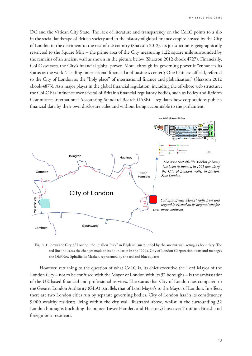DC and the Vatican City State. The lack of literature and transparency on the CoLC points to a silo in the social landscape of British society and in the history of global finance empire hosted by the City of London in the detriment to the rest of the country (Shaxson 2012). Its jurisdiction is geographically restricted to the Square Mile – the prime area of the City measuring 1.22 square mile surrounded by the remains of an ancient wall as shown in the picture below (Shaxson 2012 ebook 4727). Financially, CoLC oversees the City's financial global power. More, through its governing power it "enhances its status as the world's leading international financial and business center"; One Chinese official, referred to the City of London as the "holy place" of international finance and globalization" (Shaxson 2012 ebook 4873). As a major player in the global financial regulation, including the off-shore web structure, the CoLC has influence over several of Britain's financial regulatory bodies, such as Policy and Reform Committee; International Accounting Standard Boards (IASB) – regulates how corporations publish financial data by their own disclosure rules and without being accountable to the parliament.



Figure 1: shows the City of London, the smallest "city" in England, surrounded by the ancient wall acting as boundary. The red line indicates the changes made to its boundaries in the 1990s. City of London Corporation owns and manages the Old/New Spitalfields Market, represented by the red and blue squares.

However, returning to the question of what CoLC is, its chief executive the Lord Mayor of the London City – not to be confused with the Mayor of London with its 32 boroughs – is the ambassador of the UK-based financial and professional services. The status that City of London has compared to the Greater London Authority (GLA) parallels that of Lord Mayor's to the Mayor of London. In effect, there are two London cities run by separate governing bodies. City of London has in its constituency 9,000 wealthy residents living within the city wall illustrated above, whilst in the surrounding 32 London boroughs (including the poorer Tower Hamlets and Hackney) host over 7 million British and foreign-born residents.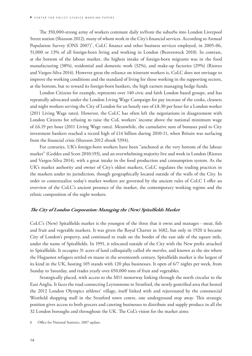<span id="page-14-0"></span>The 350,000-strong army of workers commute daily to/from the suburbs into London Liverpool Street station (Shaxson 2012), many of whom work in the City's financial services. According to Annual Population Survey (ONS 2007)<sup>6</sup>, CoLC finance and other business services employed, in 2005-06, 51,000 or 13% of all foreign-born living and working in London (Beaverstock 2010). In contrast, at the bottom of the labour market, the highest intake of foreign-born migrants was in the food manufacturing (38%), residential and domestic work (32%), and make-up factories (29%) (Rienzo and Vargos-Silva 2014). However great the reliance on itinerant workers is, CoLC does not envisage to improve the working conditions and the standard of living for those working in the supporting sectors, at the bottom, but to reward its foreign-born bankers, the high earners managing hedge funds.

London Citizens for example, represents over 140 civic and faith London based groups, and has repeatedly advocated under the London Living Wage Campaign for pay increase of the cooks, cleaners and night workers serving the City of London for an hourly rate of £8.30 per hour for a London worker (2011 Living Wage rates). However, the CoLC has often left the negotiations in disagreement with London Citizens for refusing to raise the CoL workers' income above the national minimum wage of £6.19 per hour (2011 Living Wage rates). Meanwhile, the cumulative sum of bonuses paid to City investment bankers reached a record high of £14 billion during 2010-11, when Britain was surfacing from the financial crisis (Shaxson 2012 ebook 5394).

For centuries, UK's foreign-born workers have been "anchored at the very bottom of the labour market" (Geddes and Scott 2010:193), and an overwhelming majority live and work in London (Rienzo and Vargos-Silva 2014), with a great intake in the food production and consumption system. As the UK's market authority and owner of City's oldest markets, CoLC regulates the trading practices in the markets under its jurisdiction, though geographically located outside of the walls of the City. In order to contextualize today's market workers are governed by the ancient rules of CoLC I offer an overview of the CoLC's ancient presence of the market, the contemporary working regime and the ethnic composition of the night workers.

#### **The City of London Corporation: Managing the (New) Spitalfields Market**

CoLC's (New) Spitalfields market is the youngest of the three that it owns and manages - meat, fish and fruit and vegetable markets. It was given the Royal Charter in 1682, but only in 1920 it became City of London's property, and continued to trade on the border of the east side of the square mile, under the name of Spitalfields. In 1991, it relocated outside of the City with the New prefix attached to Spitalfields. It occupies 31 acres of land colloquially called *the marshes*, and known as the site where the Huguenot refugees settled en masse in the seventeenth century. Spitalfields market is the largest of its kind in the UK, hosting 105 stands with 120 plus businesses. It open of 6/7 nights per week, from Sunday to Saturday, and trades yearly over 650,000 tons of fruit and vegetables.

Strategically placed, with access to the M11 motorway linking through the north circular to the East Anglia. It faces the road connecting Leytonstone to Stratford, the newly gentrified area that hosted the 2012 London Olympics athletes' village, itself linked with and rejuvenated by the commercial Westfield shopping mall in the Stratford town centre, one underground stop away. This strategic position gives access to both grocers and catering businesses to distribute and supply produce in all the 32 London boroughs and throughout the UK. The CoL's vision for the market aims:

6 Office for National Statistics, 2007 update.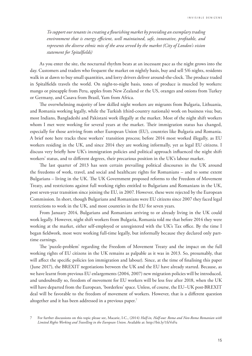*To support our tenants in creating a flourishing market by providing an exemplary trading environment that is energy efficient, well maintained, safe, innovative, profitable, and represents the diverse ethnic mix of the area served by the market (City of London's vision statement for Spitalfields)*

As you enter the site, the nocturnal rhythm beats at an incessant pace as the night grows into the day. Customers and traders who frequent the market on nightly basis, buy and sell 5/6 nights, residents walk in at dawn to buy small quantities, and lorry drivers deliver around-the-clock. The produce traded in Spitalfields travels the world. On night-to-night basis, tones of produce is muscled by workers: mango or pineapple from Peru, apples from New Zealand or the US, oranges and onions from Turkey or Germany, and Casava from Brasil, Yam from Africa.

The overwhelming majority of low skilled night workers are migrants from Bulgaria, Lithuania, and Romania working legally, while the Turkish (third-country nationals) work on business visa; but, most Indians, Bangladeshi and Pakistani work illegally at the market. Most of the night shift workers whom I met were working for several years at the market. Their immigration status has changed, especially for those arriving from other European Union (EU), countries like Bulgaria and Romania. A brief note here tracks these workers' transition process; before 2014 most worked illegally, as EU workers residing in the UK, and since 2014 they are working informally, yet as legal EU citizens. I discuss very briefly how UK's immigration policies and political approach influenced the night shift workers' status, and to different degrees, their precarious position in the UK's labour market.

The last quarter of 2013 has seen certain prevailing political discourses in the UK around the freedoms of work, travel, and social and healthcare rights for Romanians – and to some extent Bulgarians – living in the UK. The UK Government proposed reforms to the Freedom of Movement Treaty, and restrictions against full working rights entitled to Bulgarians and Romanians in the UK, post seven-year transition since joining the EU, in 2007. However, these were rejected by the European Commission. In short, though Bulgarians and Romanians were EU citizens since 2007 they faced legal restrictions to work in the UK, and most countries in the EU for seven years.

From January 2014, Bulgarians and Romanians arriving to or already living in the UK could work legally. However, night shift workers from Bulgaria, Romania told me that before 2014 they were working at the market, either self-employed or unregistered with the UK's Tax office. By the time I began fieldwork, most were working full-time legally, but informally because they declared only parttime earnings.

The 'puzzle-problem' regarding the Freedom of Movement Treaty and the impact on the full working rights of EU citizens in the UK remains as palpable as it was in 2013. So, presumably, that will affect the specific policies (on immigration and labour). Since, at the time of finalising this paper (June 2017), the BREXIT negotiations between the UK and the EU have already started. Because, as we have learnt from previous EU enlargements (2004, 2007) new migration policies will be introduced, and undoubtedly so, freedom of movement for EU workers will be less free after 2018, when the UK will have departed from the European, 'borderless' space. Unless, of course, the EU–UK post-BREXIT deal will be favorable to the freedom of movement of workers. However, that is a different question altogether and it has been addressed in a previous paper.7

<sup>7</sup> For further discussions on this topic please see, Macarie, I-C., (2014) *Half-in, Half-out: Roma and Non-Roma Romanian with Limited Rights Working and Travelling in the European Union*. Available at: <http://bit.ly/1fzVoFu>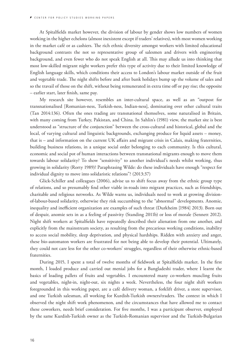At Spitalfields market however, the division of labour by gender shows low numbers of women working in the higher echelons (almost inexistent except if traders' relatives), with most women working in the market café or as cashiers. The rich ethnic diversity amongst workers with limited educational background contrasts the not so representative group of salesmen and drivers with engineering background, and even fewer who do not speak English at all. This may allude us into thinking that most low-skilled migrant night workers prefer this type of activity due to their limited knowledge of English language skills, which conditions their access to London's labour market outside of the fruit and vegetable trade. The night shifts before and after bank holidays bump up the volume of sales and so the travail of those on the shift, without being remunerated in extra time off or pay rise; the opposite – earlier start, later finish, same pay.

My research site however, resembles an inter-cultural space, as well as an "outpost for transnationalised [Romanian-ness, Turkish-ness, Indian-ness], dominating over other cultural traits (Tan 2014:136). Often the ones trading are transnational themselves, some naturalised in Britain, with many coming from Turkey, Pakistan, and China. In Sahlin's (1981) view, the market site is best understood as "structure of the conjunction" between the cross-cultural and historical, global and the local, of varying cultural and linguistic backgrounds, exchanging produce for liquid assets – money, that is – and information on the current UK affairs and migrant crisis in Calais, making fraternities, building business relations, in a unique social order belonging to each community. Is this cultural, economic and social pot of human interactions between transnational migrants enough to move them towards labour solidarity? To show "sensitivity" to another individual's needs whilst working, thus growing in solidarity (Rorty 1989)? Paraphrasing Wilde: do these individuals have enough "respect for individual dignity to move into solidaristic relations"? (2013:37)

Glick-Schiller and colleagues (2006), advise us to shift focus away from the ethnic group type of relations, and so presumably find other viable in-roads into migrant practices, such as friendships, charitable and religious networks. As Wilde warns us, individuals need to work at growing divisionof-labour-based solidarity, otherwise they risk succumbing to the "abnormal" developments. Anomie, inequality and inefficient organization are examples of such threat (Durkheim [1984] 2013). Born out of despair, anomie sets in as a feeling of passivity (Standing 2011b) or loss of morale (Sennett 2012). Night shift workers at Spitalfields have repeatedly described their alienation from one another, and explicitly from the mainstream society, as resulting from the precarious working conditions, inability to access social mobility, sleep deprivation, and physical hardships. Ridden with anxiety and anger, these bio-automaton workers are frustrated for not being able to develop their potential. Ultimately, they could not care less for the other co-workers' struggles, regardless of their otherwise ethnic-based fraternities.

During 2015, I spent a total of twelve months of fieldwork at Spitalfields market. In the first month, I loaded produce and carried out menial jobs for a Bangladeshi trader, where I learnt the basics of loading pallets of fruits and vegetables. I encountered many co-workers muscling fruits and vegetables, night-in, night-out, six nights a week. Nevertheless, the four night shift workers foregrounded in this working paper, are a café delivery woman, a forklift driver, a store supervisor, and one Turkish salesman, all working for Kurdish-Turkish owners/traders. The context in which I observed the night shift work phenomenon, and the circumstances that have allowed me to contact these coworkers, needs brief consideration. For five months, I was a participant observer, employed by the same Kurdish-Turkish owner as the Turkish-Romanian supervisor and the Turkish-Bulgarian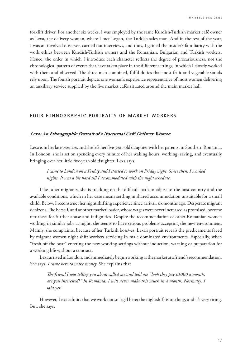<span id="page-17-0"></span>forklift driver. For another six weeks, I was employed by the same Kurdish-Turkish market café owner as Lexa, the delivery woman, where I met Logan, the Turkish sales man. And in the rest of the year, I was an involved observer, carried out interviews, and thus, I gained the insider's familiarity with the work ethics between Kurdish-Turkish owners and the Romanian, Bulgarian and Turkish workers. Hence, the order in which I introduce each character reflects the degree of precariousness, not the chronological pattern of events that have taken place in the different settings, in which I closely worked with them and observed. The three men combined, fulfil duties that most fruit and vegetable stands rely upon. The fourth portrait depicts one woman's experience representative of most women delivering an auxiliary service supplied by the five market cafés situated around the main market hall.

## **FOUR ETHNOGRAPHIC PORTRAITS OF MARKET WORKERS**

#### **Lexa: An Ethnographic Portrait of a Nocturnal Café Delivery Woman**

Lexa is in her late twenties and she left her five-year-old daughter with her parents, in Southern Romania. In London, she is set on spending every minute of her waking hours, working, saving, and eventually bringing over her little five-year-old daughter. Lexa says,

*I came to London on a Friday and I started to work on Friday night. Since then, I worked nights. It was a bit hard till I accommodated with the night schedule.* 

Like other migrants, she is trekking on the difficult path to adjust to the host country and the available conditions, which in her case means settling in shared accommodation unsuitable for a small child. Below, I reconstruct her night shifting experience since arrival, six months ago. Desperate migrant denizens, like herself, and another market loader, whose wages were never increased as promised, become returnees for further abuse and indignities. Despite the recommendation of other Romanian women working in similar jobs at night, she seems to have serious problems accepting the new environment. Mainly, she complaints, because of her Turkish boss/-es. Lexa's portrait reveals the predicaments faced by migrant women night shift workers servicing in male dominated environments. Especially, when "fresh off the boat" entering the new working settings without induction, warning or preparation for a working life without a contract.

Lexa arrived in London, and immediately begun working at the market at a friend's recommendation. She says, *I came here to make money*. She explains that

*The friend I was telling you about called me and told me "look they pay £1000 a month, are you interested?" In Romania, I will never make this much in a month. Normally, I said yes!* 

However, Lexa admits that we work not so legal here; the nightshift is too long, and it's very tiring. But, she says,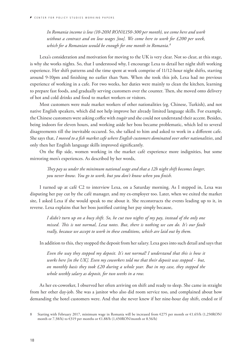*In Romania income is low (10-20M RON/£150-300 per month), we come here and work without a contract and on low wages [too]. We come here to work for £200 per week, which for a Romanian would be enough for one month in Romania.8*

Lexa's consideration and motivation for moving to the UK is very clear. Not so clear, at this stage, is why she works nights. So, that I understood why, I encourage Lexa to detail her night shift working experience. Her shift patterns and the time spent at work comprise of 11/12-hour night shifts, starting around 9-10pm and finishing no earlier than 9am. When she took this job, Lexa had no previous experience of working in a cafe. For two weeks, her duties were mainly to clean the kitchen, learning to prepare fast foods, and gradually serving customers over the counter. Then, she moved onto delivery of hot and cold drinks and food to market workers or visitors.

Most customers were male market workers of other nationalities (eg. Chinese, Turkish), and not native English speakers, which did not help improve her already limited language skills. For example, the Chinese customers were asking coffee with *tsugār* and she could not understand their accent. Besides, being indoors for eleven hours, and working aside her boss became problematic, which led to several disagreements till the inevitable occured. So, she talked to him and asked to work in a different cafe. She says that, *I moved to a fish market cafe where English customers dominated over other nationalities*, and only then her English language skills improved significantly.

On the flip side, women working in the market café experience more indignities, but some mirroring men's experiences. As described by her words,

*They pay us under the minimum national wage and that a 12h night shift becomes longer, you never know. You go to work, but you don't know when you finish.* 

I turned up at café C2 to interview Lexa, on a Saturday morning. As I stepped in, Lexa was disputing her pay cut by the café manager, and my ex-employer too. Later, when we exited the market site, I asked Lexa if she would speak to me about it. She reconstructs the events leading up to it, in reverse. Lexa explains that her boss justified cutting her pay simply because,

*I didn't turn up on a busy shift. So, he cut two nights of my pay, instead of the only one missed. This is not normal, Lexa notes. But, there is nothing we can do. It's our fault really, because we accept to work in these conditions, which are laid out by them.* 

In addition to this, they stopped the deposit from her salary. Lexa goes into such detail and says that

*Even the way they stopped my deposit. It's not normal! I understand that this is how it works here [in the UK]. Even my coworkers told me that their deposit was stopped - but, on monthly basis they took £20 during a whole year. But in my case, they stopped the whole weekly salary as deposit, for two weeks in a row.* 

As her ex-coworker, I observed her often arriving on shift and ready to sleep. She came in straight from her other day-job. She was a janitor who also did room service too, and complained about how demanding the hotel customers were. And that she never knew if her nine-hour day shift, ended or if

<sup>8</sup> Starting with February 2017, minimum wage in Romania will be increased from €275 per month or €1.65/h (1,250RON/ month or 7.38/h) to €319 per months or €1.88/h (1,450RON/month or 8.56/h)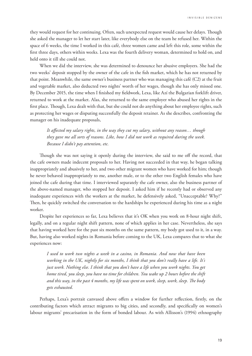they would request for her continuing. Often, such unexpected request would cause her delays. Though she asked the manager to let her start later, like everybody else on the team he refused her. Within the space of 6 weeks, the time I worked in this café, three women came and left this role, some within the first three days, others within weeks. Lexa was the fourth delivery woman, determined to hold on, and held onto it till she could not.

When we did the interview, she was determined to denounce her abusive employers. She had the two weeks' deposit stopped by the owner of the cafe in the fish market, which he has not returned by that point. Meanwhile, the same owner's business partner who was managing this café (C2) at the fruit and vegetable market, also deducted two nights' worth of her wages, though she has only missed one. By December 2015, the time when I finished my fieldwork, Lexa, like Azí the Bulgarian forklift driver, returned to work at the market. Alas, she returned to the same employer who abused her rights in the first place. Though, Lexa dealt with that, but she could not do anything about her employee rights, such as protecting her wages or disputing successfully the deposit retainer. As she describes, confronting the manager on his inadequate proposals,

*It affected my salary rights, in the way they cut my salary, without any reason… though they gave me all sorts of reasons. Like, how I did not work as required during the week. Because I didn't pay attention, etc.* 

Though she was not saying it openly during the interview, she said to me off the record, that the cafe owners made indecent proposals to her. Having not succeeded in that way, he began talking inappropriately and abusively to her, and two other migrant women who have worked for him; though he never behaved inappropriately to me, another male, or to the other two English females who have joined the cafe during that time. I interviewed separately the cafe owner, also the business partner of the above-named manager, who stopped her deposit. I asked him if he recently had or observed any inadequate experiences with the workers at the market, he defensively asked, "Unacceptable? Why?" Then, he quickly switched the conversation to the hardships he experienced during his time as a night worker.

Despite her experiences so far, Lexa believes that it's OK when you work on 8-hour night shift, legally, and on a regular night shift pattern, none of which applies in her case. Nevertheless, she says that having worked here for the past six months on the same pattern, my body got used to it, in a way. But, having also worked nights in Romania before coming to the UK, Lexa compares that to what she experiences now:

*I used to work two nights a week in a casino, in Romania. And now that have been working in the UK, nightly for six months, I think that you don't really have a life. It's just work. Nothing else. I think that you don't have a life when you work nights. You get home tired, you sleep, you have no time for children. You wake up 2 hours before the shift and this way, in the past 4 months, my life was spent on work, sleep, work, sleep. The body gets exhausted.*

Perhaps, Lexa's portrait canvased above offers a window for further reflection, firstly, on the contributing factors which attract migrants to big cities, and secondly, and specifically on women's labour migrants' precarisation in the form of bonded labour. As with Allisson's (1994) ethnography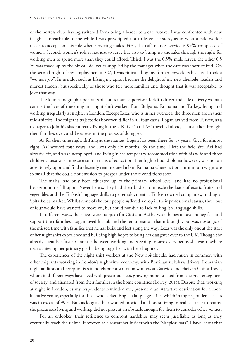of the hostess club, having switched from being a loader to a cafe worker I was confronted with new insights unreachable to me while I was prescripted not to leave the store, as to what a cafe worker needs to accept on this role when servicing males. First, the café market service is 99% composed of women. Second, women's role is not just to serve but also to bump up the sales through the night for working men to spend more than they could afford. Third, I was the 0.5% male server, the other 0.5 % was made up by the off-call deliveries supplied by the manager when the café was short staffed. On the second night of my employment at C2, I was ridiculed by my former coworkers because I took a "woman job". Innuendos such as lifting my apron became the delight of my new clientele, loaders and market traders, but specifically of those who felt more familiar and thought that it was acceptable to joke that way.

The four ethnographic portraits of a sales man, supervisor, forklift driver and café delivery woman canvas the lives of these migrant night shift workers from Bulgaria, Romania and Turkey, living and working irregularly at night, in London. Except Lexa, who is in her twenties, the three men are in their mid-thirties. The migrant trajectories however, differ in all four cases. Logan arrived from Turkey, as a teenager to join his sister already living in the UK. Gică and Azí travelled alone, at first, then brought their families over, and Lexa was in the process of doing so.

As for their time night shifting at the market, Logan has been there for 17 years, Gică for almost eight, Azí worked four years, and Lexa only six months. By the time, I left the field site, Azí had already left, and was unemployed, and living in the temporary accommodation with his wife and three children. Lexa was an exception in terms of education. Her high school diploma however, was not an asset to rely upon and find a decently remunerated job in Romania where national minimum wages are so small that she could not envision to prosper under those conditions soon.

The males, had only been educated up to the primary school level, and had no professional background to fall upon. Nevertheless, they had their bodies to muscle the loads of exotic fruits and vegetables and the Turkish language skills to get employment at Turkish owned companies, trading at Spitalfields market. Whilst none of the four people suffered a drop in their professional status, three out of four would have wanted to move on, but could not due to lack of English language skills.

In different ways, their lives were trapped; for Gică and Azí between hopes to save money fast and support their families; Logan loved his job and the remuneration that it brought, but was nostalgic of the missed time with families that he has built and lost along the way; Lexa was the only one at the start of her night shift experience and building high hopes to bring her daughter over to the UK. Though she already spent her first six months between working and sleeping to save every penny she was nowhere near achieving her primary goal – being together with her daughter.

The experiences of the night shift workers at the New Spitalfields, had much in common with other migrants working in London's night-time economy; with Brazilian rickshaw drivers, Romanian night auditors and receptionists in hotels or construction workers at Gatwick and chefs in China Town, whom in different ways have lived with precariousness, growing more isolated from the greater segment of society, and alienated from their families in the home countries (Lorrey, 2015). Despite that, working at night in London, as my respondents reminded me, presented an attractive destination for a more lucrative venue, especially for those who lacked English language skills, which in my respondents' cases was in excess of 99%. But, as long as their worked provided an honest living to realise earnest dreams, the precarious living and working did not present an obstacle enough for them to consider other venues.

For an onlooker, their resilience to confront hardships may seem justifiable as long as they eventually reach their aims. However, as a researcher-insider with the "sleepless bats", I have learnt that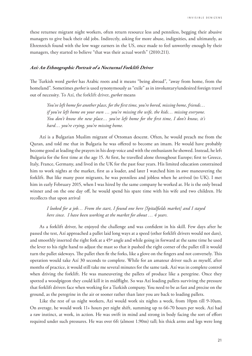<span id="page-21-0"></span>these returnee migrant night workers, often return resource less and penniless, begging their abusive managers to give back their old jobs. Indirectly, asking for more abuse, indignities, and ultimately, as Ehrenreich found with the low wage earners in the US, once made to feel unworthy enough by their managers, they started to believe "that was their actual worth" (2010:211).

## **Azí: An Ethnographic Portrait of a Nocturnal Forklift Driver**

The Turkish word *gurbet* has Arabic roots and it means "being abroad", "away from home, from the homeland". Sometimes *gurbet* is used synonymously as "exile" as in involuntary/undesired foreign travel out of necessity. To Azí, the forklift driver, *gurbet* means

*You've left home for another place, for the first time, you're bored, missing home, friends… if you've left home on your own … you're missing the wife, the kids… missing everyone. You don't know the new place… you've left home for the first time, I don't know, it's hard… you're crying, you're missing home.* 

Azí is a Bulgarian Muslim migrant of Ottoman descent. Often, he would preach me from the Quran, and told me that in Bulgaria he was offered to become an imam. He would have probably become good at leading the prayers in his deep voice and with the enthusiasm he showed. Instead, he left Bulgaria for the first time at the age 15. At first, he travelled alone throughout Europe; first to Greece, Italy, France, Germany, and lived in the UK for the past four years. His limited education constrained him to work nights at the market, first as a loader, and later I watched him in awe maneuvering the forklift. But like many poor migrants, he was penniless and jobless when he arrived (to UK). I met him in early February 2015, when I was hired by the same company he worked at. He is the only bread winner and on the one day off, he would spend his spare time with his wife and two children. He recollects that upon arrival

*I looked for a job… From the start, I found one here [Spitalfields market] and I stayed here since. I have been working at the market for about … 4 years.*

As a forklift driver, he enjoyed the challenge and was confident in his skill. Few days after he passed the test, Azí approached a pallet laid long ways at a speed (other forklift drivers would not dare), and smoothly inserted the right fork at a 45º angle and while going in forward at the same time he used the lever to his right hand to adjust the mast so that it pushed the right corner of the pallet till it would turn the pallet sideways. The pallet then fit the forks, like a glove on the fingers and not conversely. This operation would take Azí 30 seconds to complete. While for an amateur driver such as myself, after months of practice, it would still take me several minutes for the same task. Azí was in complete control when driving the forklift. He was maneuvering the pallets of produce like a peregrine. Once they spotted a woodpigeon they could kill it in midflight. So was Azí loading pallets surviving the pressure that forklift drivers face when working for a Turkish company. You need to be as fast and precise on the ground, as the peregrine in the air or sooner rather than later you are back to loading pallets.

Like the rest of us night workers, Azí would work six nights a week, from 10pm till 9-10am. On average, he would work 11+ hours per night shift, summing up to 66-70 hours per week. Azí had a raw instinct, at work, in action. He was swift in mind and strong in body facing the sort of effort required under such pressures. He was over 6ft (almost 1.90m) tall; his thick arms and legs were long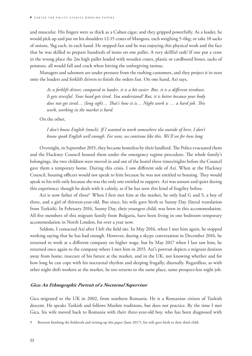<span id="page-22-0"></span>and muscular. His fingers were as thick as a Cuban cigar, and they gripped powerfully. As a loader, he would pick up and put on his shoulders 12-15 crates of Mangoes, each weighing 5-6kg; or take 10 sacks of onions, 5kg each, in each hand. He stepped fast and he was enjoying this physical work and the fact that he was skilled to prepare hundreds of items on one pallet. A very skillful task! If one put a crate in the wrong place the 2m high pallet loaded with wooden crates, plastic or cardboard boxes, sacks of potatoes, all would fall and crack when hitting the unforgiving tarmac.

Managers and salesmen are under pressure from the rushing customers, and they project it in turn onto the loaders and forklift drivers to finish the orders fast. On one hand, Azí says,

*As a forklift driver, compared to loader, it is a bit easier. But, it is a different tiredness. It gets stressful. Your head gets tired. You understand? But, it is better because your body does not get tired… (long sigh)… That's how it is… Night work is … a hard job. This work, working in the market is hard.*

On the other,

*I don't know English (much). If I wanted to work somewhere else outside of here, I don't know speak English well enough. For now, we continue like this. We'll see for how long.*

Overnight, in September 2015, they became homeless by their landlord. The Police evacuated them and the Hackney Council housed them under the emergency regime procedure. The whole family's belongings, the two children were moved in and out of the hostel three times/nights before the Council gave them a temporary home. During this crisis, I saw different side of Azí. When at the Hackney Council, housing officers would not speak to him because he was not entitled to housing. They would speak to his wife only because she was the only one entitled to support. Azí was unsure and quiet during this experience; though he dealt with it calmly, as if he has seen this kind of fragility before.

Azí is now father of three<sup>9.</sup> When I first met him at the market, he only had G and S, a boy of three, and a girl of thirteen-year-old. But since, his wife gave birth to Sunny Day (literal translation from Turkish). In February 2016, Sunny Day, their youngest child, was born in this accommodation. All five members of this migrant family from Bulgaria, have been living in one bedroom temporary accommodation in North London, for over a year now.

Seldom, I contacted Azí after I left the field site. In May 2016, when I met him again, he stopped working saying that he has had enough. However, during a skype conversation in December 2016, he returned to work at a different company on higher wage, but by May 2017 when I last saw him, he returned once again to the company where I met him in 2015. Azí's portrait depicts a migrant denizen away from home, insecure of his future at the market, and in the UK, not knowing whether and for how long he can cope with his nocturnal rhythm and sleeping frugally, diurnally. Regardless, as with other night shift workers at the market, he too returns to the same place, same prospect-less night job.

#### **Gica: An Ethnographic Portrait of a Nocturnal Supervisor**

Gica migrated to the UK in 2002, from southern Romania. He is a Romanian citizen of Turkish descent. He speaks Turkish and follows Muslim traditions, but does not practice. By the time I met Gica, his wife moved back to Romania with their three-year-old boy, who has been diagnosed with

<sup>9</sup> Between finishing the fieldwork and writing-up this paper (June 2017), his wife gave birth to their third child.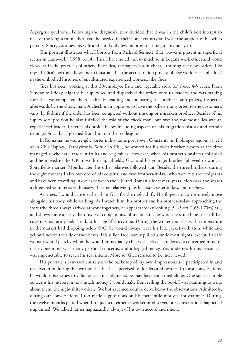Asperger's syndrome. Following the diagnosis, they decided that it was in the child's best interest to receive the long-term medical care he needed in their home country and with the support of his wife's parents. Since, Gica saw his wife and child only few months at a time, in any one year.

This portrait illustrates what I borrow from Richard Sennett, that "power is present in superficial scenes in teamwork" (1998, p.114). This, I have noted, not so much so in Logan's work ethics and world views, as in the practices of others, like Gica, the supervisor-in-charge, training the new loaders, like myself. Gica's portrait allows me to illustrate that the acculturation process of new workers is embedded in the embodied histories of enculturated experienced workers, like Gica.

Gica has been working at this 30-employee fruit and vegetable store for about 4-5 years. From Sunday to Friday, nightly, he supervised and dispatched the orders onto us loaders, and was making sure that we completed them – that is, loading and preparing the produce onto pallets, inspected afterwards by the check man. A check man approves to have the pallets transported to the customer's vans, by forklift if the order has been completed without missing or mistaken produce. Besides of his supervisory position he also fulfilled the role of the check man, but first and foremost Gica was an experienced loader. I sketch his profile below including aspects on his migration history and certain demographics that I gleaned from him or other colleagues.

In Romania, he was a night porter in his home port town, Constanta, in Dobrogea region, as well as in Cluj-Napoca, Transylvania. While in Cluj, he worked for his older brother, whom at the time managed a wholesale trade in fruits and vegetables. However, when his brother's business collapsed and he moved to the UK to work in Spitalfields, Gica and his younger brother followed to work at Spitalfields market. Months later, his other relatives followed suit. Besides the three brothers, during the eight months I also met one of his cousins, and two brothers-in-law, who were returnee migrants and have been travelling in cycles between the UK and Romania for several years. He works and shares a three-bedroom terraced house with same relatives, plus his sister, sister-in-law, and nephew.

At times, I would arrive earlier than Gică for the night shift. His forged iron-arms merely move alongside his body, while walking. As I watch him, his brother and his brother-in-law approaching the store (the three always arrived at work together), he appears stocky looking, 5.4-5.6ft (1,65-1,70m) tall, and shows more apathy than his two companions. Shine or rain, he wore the same blue baseball hat covering his nearly bold head, at his age of thirty-one. During the winter months, with temperature in the market hall dropping below 0ºC, he would always wear his blue jacket with thin, white and yellow lines on the side of the sleeves. His sullen face, barely pulled a smile most nights, except if a cafe woman would pass by whom he would immediately chat with. His face reflected a concerned mind or rather, one mind with many personal concerns, and it begged mercy. Yet, underneath this persona, it was impenetrable to reach his real intents. More so, Gica refused to be interviewed.

His portrait is canvased entirely on the backdrop of my own impressions as I participated in and observed him during the five months that he supervised us, loaders and porters. In most conversations, he would raise issues to validate certain judgments he may have construed alone. One such example concerns his interest in how much money I would make from selling the book I was planning to write about them, the night shift workers. We both seemed keen to delve below the observations. Admittedly, during our conversations, I too made suppositions on his mercantile motives, for example. During, the twelve-months period when I frequented, either as worker or observer, our conversations happened unplanned. We talked rather haphazardly, always of his own accord and intent.

23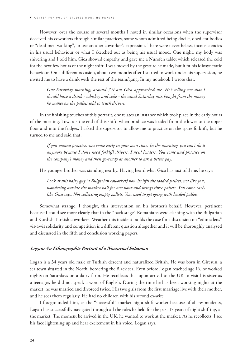<span id="page-24-0"></span>However, over the course of several months I noted in similar occasions when the supervisor deceived his coworkers through similar practices, some whom admitted being docile, obedient bodies or "dead men walking", to use another coworker's expression. There were nevertheless, inconsistencies in his usual behaviour or what I sketched out as being his usual mood. One night, my body was shivering and I told him. Gica showed empathy and gave me a Nurofen tablet which released the cold for the next few hours of the night shift. I was moved by the gesture he made, but it fit his idiosyncratic behaviour. On a different occasion, about two months after I started to work under his supervision, he invited me to have a drink with the rest of the team/gang. In my notebook I wrote that,

*One Saturday morning, around 7-9 am Gica approached me. He's telling me that I should have a drink - whiskey and coke - the usual Saturday mix bought from the money he makes on the pallets sold to truck drivers.*

In the finishing touches of this portrait, one relates an instance which took place in the early hours of the morning. Towards the end of this shift, when produce was loaded from the lower to the upper floor and into the fridges, I asked the supervisor to allow me to practice on the spare forklift, but he turned to me and said that,

*If you wanna practice, you come early in your own time. In the mornings you can't do it anymore because I don't need forklift drivers, I need loaders. You come and practice on the company's money and then go-ready at another to ask a better pay.* 

His younger brother was standing nearby. Having heard what Gica has just told me, he says:

*Look at this hairy guy (a Bulgarian coworker) how he lifts the loaded pallets, not like you, wondering outside the market hall for one hour and brings three pallets. You come early like Gica says. Not collecting empty pallets. You need to get going with loaded pallets.*

Somewhat strange, I thought, this intervention on his brother's behalf. However, pertinent because I could see more clearly that in the "back stage" Romanians were clashing with the Bulgarian and Kurdish-Turkish coworkers. Weather this incident builds the case for a discussion on "ethnic lens" vis-a-vis solidarity and competition is a different question altogether and it will be thoroughly analysed and discussed in the fifth and conclusion working papers.

#### **Logan: An Ethnographic Portrait of a Nocturnal Salesman**

Logan is a 34 years old male of Turkish descent and naturalized British. He was born in Giresun, a sea town situated in the North, bordering the Black sea. Even before Logan reached age 16, he worked nights on Saturdays on a dairy farm. He recollects that upon arrival to the UK to visit his sister as a teenager, he did not speak a word of English. During the time he has been working nights at the market, he was married and divorced twice. His two girls from the first marriage live with their mother, and he sees them regularly. He had no children with his second ex-wife.

I foregrounded him, as the "successful" market night shift worker because of all respondents, Logan has successfully navigated through all the roles he held for the past 17 years of night shifting, at the market. The moment he arrived in the UK, he wanted to work at the market. As he recollects, I see his face lightening up and hear excitement in his voice. Logan says,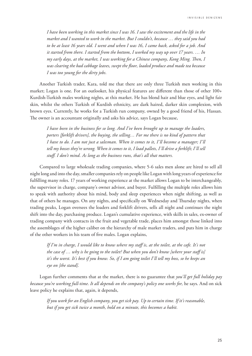I N V I S I B L E D E N I Z E N S

*I have been working in this market since I was 16. I saw the excitement and the life in the market and I wanted to work in the market. But I couldn't, because … they said you had to be at least 16 years old. I went and when I was 16, I came back, asked for a job. And it started from there. I started from the bottom, I worked my way up over 17 years. … In my early days, at the market, I was working for a Chinese company, Kong Ming. Then, I was clearing the bad cabbage leaves, swept the floor, loaded produce and made tea because I was too young for the dirty jobs.*

Another Turkish trader, Kara, told me that there are only three Turkish men working in this market; Logan is one. For an outlooker, his physical features are different than those of other 100+ Kurdish-Turkish males working nights, at this market. He has blond hair and blue eyes, and light fair skin, whilst the others Turkish of Kurdish ethnicity, are dark haired, darker skin complexion, with brown eyes. Currently, he works for a Turkish run company, owned by a good friend of his, Hassan. The owner is an accountant originally and asks his advice, says Logan because,

*I have been in the business for so long. And I've been brought up to manage the loaders, porters [forklift drivers], the buying, the selling… For me there is no kind of pattern that I have to do. I am not just a salesman. When it comes to it, I'll become a manager; I'll tell my bosses they're wrong. When it comes to it, I load pallets, I'll drive a forklift; I'll sell stuff. I don't mind. As long as the business runs, that's all that matters.* 

Compared to large wholesale trading companies, where 5-6 sales men alone are hired to sell all night long and into the day, smaller companies rely on people like Logan with long years of experience for fulfilling many roles. 17 years of working experience at the market allows Logan to be interchangeably, the supervisor in charge, company's owner advisor, and buyer. Fulfilling the multiple roles allows him to speak with authority about his mind, body and sleep experiences when night shifting, as well as that of others he manages. On any nights, and specifically on Wednesday and Thursday nights, when trading peaks, Logan oversees the loaders and forklift drivers, sells all night and continues the night shift into the day, purchasing produce. Logan's cumulative experience, with skills in sales, ex-owner of trading company with contacts in the fruit and vegetable trade, places him amongst those linked into the assemblages of the higher caliber on the hierarchy of male market traders, and puts him in charge of the other workers in his team of five males. Logan explains,

*If I'm in charge, I would like to know where my staff is, at the toilet, at the cafe. It's not the case of … why is he going to the toilet? But when you don't know [where your staff is] it's the worst. It's best if you know. So, if I am going toilet I'll tell my boss, so he keeps an eye on [the stand].*

Logan further comments that at the market, there is no guarantee that *you'll get full holiday pay because you're working full-time*. *It all depends on the company's policy one works for,* he says. And on sick leave policy he explains that, again, it depends,

*If you work for an English company, you get sick pay. Up to certain time. If it's reasonable, but if you get sick twice a month, hold on a minute, this becomes a habit.*

25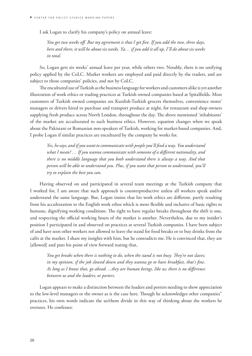I ask Logan to clarify his company's policy on annual leave:

*You get two weeks off. But my agreement is that I get five. If you add the two, three days, here and there, it will be about six weeks. Ya… if you add it all up, I'll do about six weeks in total.*

So, Logan gets six weeks' annual leave per year, while others two. Notably, there is no unifying policy applied by the CoLC. Market workers are employed and paid directly by the traders, and are subject to those companies' policies, and not by CoLC.

The encultured use of Turkish as the business language for workers and customers alike is yet another illustration of work ethics or trading practices at Turkish owned companies based at Spitalfields. Most customers of Turkish owned companies are Kurdish-Turkish grocers themselves, convenience stores' managers or drivers hired to purchase and transport produce at night, for restaurant and shop owners supplying fresh produce across North London, throughout the day. The above mentioned 'inhabitants' of the market are acculturated to such business ethics. However, equation changes when we speak about the Pakistani or Romanian non-speakers of Turkish, working for market-based companies. And, I probe Logan if similar practices are encultured by the company he works for.

*Yes, he says; and if you want to communicate with people you'll find a way. You understand what I mean? … If you wanna communicate with someone of a different nationality, and there is no middle language that you both understand there is always a way. And that person will be able to understand you. Plus, if you want that person to understand, you'll try to explain the best you can.* 

Having observed on and participated in several team meetings at the Turkish company that I worked for, I am aware that such approach is counterproductive unless all workers speak and/or understand the same language. But, Logan insists that his work ethics are different, partly resulting from his acculturation to the English work ethos which is more flexible and inclusive of basic rights to humane, dignifying working conditions. The right to have regular breaks throughout the shift is one, and respecting the official working hours of the market is another. Nevertheless, due to my insider's position I participated in and observed on practices at several Turkish companies. I have been subject of and have seen other workers not allowed to leave the stand for food breaks or to buy drinks from the cafés at the market. I share my insights with him, but he contradicts me. He is convinced that, they are [allowed] and puts his point of view forward stating that,

*You get breaks when there is nothing to do, when the stand is not busy. They're not slaves; in my opinion, if the job slowed down and they wanna go to have breakfast, that's fine. As long as I know that, go ahead. ...they are human beings, like us; there is no difference between us and the loaders; or porters.*

Logan appears to make a distinction between the loaders and porters needing to show appreciation to the low-level managers or the owner as is the case here. Though he acknowledges other companies" practices, his own words indicate the us/them divide in this way of thinking about the workers he oversees. He confesses: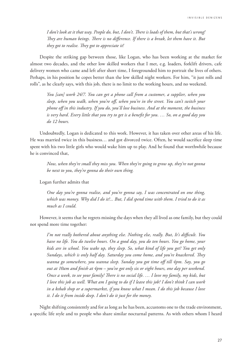*I don't look at it that way. People do, but, I don't. There is loads of them, but that's wrong! They are human beings. There is no difference. If there is a break, let them have it. But they got to realise. They got to appreciate it!*

Despite the striking gap between those, like Logan, who has been working at the market for almost two decades, and the other low skilled workers that I met, e.g. loaders, forklift drivers, cafe delivery women who came and left after short time, I foregrounded him to portrait the lives of others. Perhaps, in his position he copes better than the low skilled night workers. For him, "it just rolls and rolls", as he clearly says, with this job, there is no limit to the working hours, and no weekend.

*You [can] work 24/7. You can get a phone call from a customer, a supplier, when you sleep, when you walk, when you're off, when you're in the street. You can't switch your phone off in this industry. If you do, you'll lose business. And at the moment, the business is very hard. Every little that you try to get is a benefit for you. … So, on a good day you do 12 hours.*

Undoubtedly, Logan is dedicated to this work. However, it has taken over other areas of his life. He was married twice in this business… and got divorced twice. Often, he would sacrifice sleep time spent with his two little girls who would wake him up to play. And he found that worthwhile because he is convinced that,

*Now, when they're small they miss you. When they're going to grow up, they're not gonna be next to you, they're gonna do their own thing.* 

Logan further admits that

*One day you're gonna realise, and you're gonna say, I was concentrated on one thing, which was money. Why did I do it?... But, I did spend time with them. I tried to do it as much as I could.*

However, it seems that he regrets missing the days when they all lived as one family, but they could not spend more time together:

*I'm not really bothered about anything else. Nothing else, really. But, It's difficult. You have no life. You do twelve hours. On a good day, you do ten hours. You go home, your kids are in school. You wake up, they sleep. So, what kind of life you get? You get only Sundays, which is only half day. Saturday you come home, and you're knackered. They wanna go somewhere, you wanna sleep. Sunday you got time off till 4pm. Say, you go out at 10am and finish at 4pm – you've got only six or eight hours, one day per weekend. Once a week, to see your family! There is no social life. … I love my family, my kids, but I love this job as well. What am I going to do if I leave this job? I don't think I can work in a kebab shop or a supermarket, if you know what I mean. I do this job because I love it. I do it from inside deep. I don't do it just for the money.* 

Night shifting consistently and for as long as he has been, accustoms one to the trade environment, a specific life style and to people who share similar nocturnal patterns. As with others whom I heard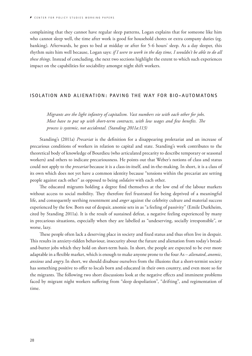<span id="page-28-0"></span>complaining that they cannot have regular sleep patterns, Logan explains that for someone like him who cannot sleep well, the time after work is good for household chores or extra company duties (eg. banking). Afterwards, he goes to bed at midday or after for 5-6 hours' sleep. As a day sleeper, this rhythm suits him well because, Logan says: *if I were to work in the day time, I wouldn't be able to do all these things*. Instead of concluding, the next two sections highlight the extent to which such experiences impact on the capabilities for sociability amongst night shift workers.

#### **ISOLATION AND ALIENATION: PAVING THE WAY FOR BIO-AUTOMATONS**

*Migrants are the light infantry of capitalism. Vast numbers vie with each other for jobs. Most have to put up with short-term contracts, with low wages and few benefits. The process is systemic, not accidental. (Standing 2011a:113)*

Standing's (2011a) *Precariat* is the definition for a disappearing proletariat and an increase of precarious conditions of workers in relation to capital and state. Standing's work contributes to the theoretical body of knowledge of Bourdieu (who articulated precarity to describe temporary or seasonal workers) and others to indicate precariousness. He points out that Weber's notions of class and status could not apply to the *precariat* because it is a class-in-itself, and in-the-making. In short, it is a class of its own which does not yet have a common identity because "tensions within the precariat are setting people against each other" as opposed to being *solidaire* with each other.

The educated migrants holding a degree find themselves at the low end of the labour markets without access to social mobility. They therefore feel frustrated for being deprived of a meaningful life, and consequently seething resentment and *anger* against the celebrity culture and material success experienced by the few. Born out of despair, anomie sets in as "a feeling of passivity" (Emile Durkheim, cited by Standing 2011a). It is the result of sustained defeat, a negative feeling experienced by many in precarious situations, especially when they are labelled as "undeserving, socially irresponsible", or worse, lazy.

These people often lack a deserving place in society and fixed status and thus often live in despair. This results in anxiety-ridden behaviour, insecurity about the future and alienation from today's breadand-butter jobs which they hold on short-term basis. In short, the people are expected to be ever more adaptable in a flexible market, which is enough to make anyone prone to the four As – *alienated*, *anomic*, *anxious* and *angry*.In short, we should disabuse ourselves from the illusions that a short-termist society has something positive to offer to locals born and educated in their own country, and even more so for the migrants. The following two short discussions look at the negative effects and imminent problems faced by migrant night workers suffering from "sleep despoliation", "drifting", and regimentation of time.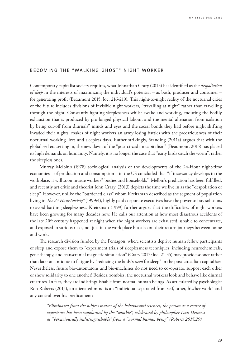### <span id="page-29-0"></span>**BECOMING THE "WALKING GHOST" NIGHT WORKER**

Contemporary capitalist society requires, what Johnathan Crary (2013) has identified as the *despoliation of sleep* in the interests of maximizing the individual's potential – as both, producer and consumer – for generating profit (Beaumont 2015: loc. 216-219). This night-to-night reality of the nocturnal cities of the future includes divisions of invisible night workers, "travailing at night" rather than travelling through the night. Constantly fighting sleeplessness whilst awake and working, enduring the bodily exhaustion that is produced by pro-longed physical labour, and the mental alienation from isolation by being cut-off from diurnals" minds and eyes and the social bonds they had before night shifting invaded their nights, makes of night workers an army losing battles with the precariousness of their nocturnal working lives and sleepless days. Rather strikingly, Standing (2011a) argues that with the globalised era setting in, the new dawn of the "post-circadian capitalism" (Beaumont, 2015) has placed its high demands on humanity. Namely, it is no longer the case that "early birds catch the worm", rather the sleepless ones.

Murray Melbin's (1978) sociological analysis of the developments of the 24-Hour night-time economies – of production and consumption – in the US concluded that "if incessancy develops in the workplace, it will soon invade workers" bodies and households". Melbin's prediction has been fulfilled, and recently art critic and theorist John Crary, (2013) depicts the time we live in as the "despoliation of sleep". However, unlike the "burdened class" whom Kreitzman described as the segment of population living in *The 24 Hour Society"* (1999:4), highly paid corporate executives have the power to buy solutions to avoid battling sleeplessness. Kreitzman (1999) further argues that the difficulties of night workers have been growing for many decades now. He calls our attention at how most disastrous accidents of the late 20th century happened at night when the night workers are exhausted, unable to concentrate, and exposed to various risks, not just in the work place but also on their return journeys between home and work.

The research division funded by the Pentagon, where scientists deprive human fellow participants of sleep and expose them to "experiment trials of sleeplessness techniques, including neurochemicals, gene therapy, and transcranial magnetic simulation" (Crary 2013: loc. 21-35) may provide sooner rather than later an antidote to fatigue by "reducing the body's *need* for sleep" in the post-circadian capital*ism.*  Nevertheless, future bio-automatons and bio-machines do not need to co-operate, support each other or show solidarity to one another! Besides, zombies, the nocturnal workers look and behave like diurnal creatures. In fact, they are indistinguishable from normal human beings. As articulated by psychologist Ron Roberts (2015), an alienated mind is an "individual separated from self, other, his/her work" and any control over his predicament:

*"Eliminated from the subject matter of the behavioural sciences, the person as a centre of experience has been supplanted by the "zombie", celebrated by philosopher Dan Dennett as "behaviourally indistinguishable" from a "normal human being" (Roberts 2015:29)*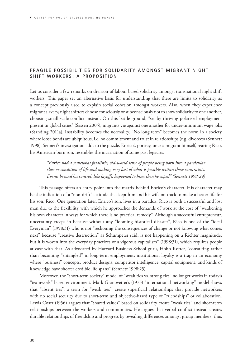## <span id="page-30-0"></span>**FRAGILE POSSIBILITIES FOR SOLIDARITY AMONGST MIGRANT NIGHT SHIFT WORKERS: A PROPOSITION**

Let us consider a few remarks on division-of-labour based solidarity amongst transnational night shift workers. This paper set an alternative basis for understanding that there are limits to solidarity as a concept previously used to explain social cohesion amongst workers. Also, when they experience migrant slavery, night shifters choose consciously or subconsciously not to show solidarity to one another, choosing small-scale conflict instead. On this battle ground, "set by thriving polarised employment present in global cities" (Sassen 2005), migrants vie against one another for under-minimum wage jobs (Standing 2011a). Instability becomes the normality. "No long term" becomes the norm in a society where loose bonds are ubiquitous, i.e. no commitment and trust in relationships (e.g. divorces) (Sennett 1998). Sennett's investigation adds to the puzzle. Enrico's portray, once a migrant himself, rearing Rico, his American-born son, resembles the incarnation of some past legacies.

*"Enrico had a somewhat fatalistic, old-world sense of people being born into a particular class or condition of life and making very best of what is possible within those constraints. Events beyond his control, like layoffs, happened to him; then he coped" (Sennett 1998:29)*

This passage offers an entry point into the matrix behind Enrico's character. His character may be the indication of a "non-drift" attitude that kept him and his wife on track to make a better life for his son, Rico. One generation later, Enrico's son, lives in a paradox. Rico is both a successful and lost man due to the flexibility with which he approaches the demands of work at the cost of "weakening his own character in ways for which there is no practical remedy". Although a successful entrepreneur, uncertainty creeps in because without any "looming historical disaster", Rico is one of the "ideal Everyman" (1998:31) who is not "reckoning the consequences of change or not knowing what comes next" because "creative destruction" as Schumpeter said, is not happening on a Richter magnitude, but it is woven into the everyday practices of a vigorous capitalism" (1998:31), which requires people at ease with that. As advocated by Harvard Business School guru, Hohn Kotter, "consulting rather than becoming "entangled" in long-term employment; institutional loyalty is a trap in an economy where "business" concepts, product designs, competitor intelligence, capital equipment, and kinds of knowledge have shorter credible life spans" (Sennett 1998:25).

Moreover, the "short-term society" model of "weak ties vs. strong ties" no longer works in today's "teamwork" based environment. Mark Granovetter's (1973) "international networking" model shows that "absent ties", a term for "weak ties", create superficial relationships that provide networkers with no social security due to short-term and objective-based type of "friendships" or collaboration. Lewis Coser (1956) argues that "shared values" based on solidarity create "weak ties" and short-term relationships between the workers and communities. He argues that verbal conflict instead creates durable relationships of friendship and progress by revealing differences amongst group members, thus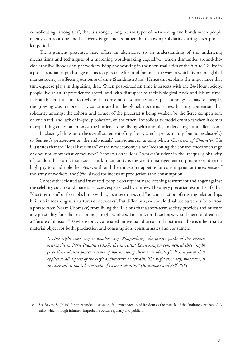consolidating "strong ties", that is stronger, longer-term types of networking and bonds when people openly confront one another over disagreements rather than showing solidarity during a set project led period.

The argument presented here offers an alternative to an understanding of the underlying mechanisms and techniques of a marching world-making capital*ism*, which dismantles around-theclock the livelihoods of night workers living and working in the nocturnal cities of the future. To live in a post-circadian capitalist age means to appreciate first and foremost the way in which living in a global market society is affecting our sense of time (Standing 2011a). Hence this explains the importance that time-squeeze plays in disguising that. When post-circadian time intersects with the 24-Hour society, people live at an unprecedented speed, and with disrespect to their biological clock and leisure time. It is at this critical junction where the corrosion of solidarity takes place amongst a mass of people, the growing class or precariat, concentrated in the global, nocturnal cities. It is my contention that solidarity amongst the cohorts and armies of the precariat is being weaken by the fierce competition, on one hand, and lack of in-group cohesion, on the other. The solidarity model crumbles when it comes to explaining cohesion amongst the burdened ones living with anomie, anxiety, anger and alienation.

In closing, I draw onto the overall statement of my thesis, which speaks mainly (but not exclusively) to Sennett's perspective on the individuals' consequences, among which *Corrosion of Character*. He illustrates that the "ideal Everyman" of the new economy is not "reckoning the consequences of change or does not know what comes next". Sennett's only "ideal" worker/survivor in the unequal global city of London that can fathom such bleak uncertainty is the wealth management corporate-executive on high pay to quadruple the 1%'s wealth and their incessant appetite for consumption at the expense of the army of workers, the 99%, slaved for incessant production (and consumption).

Constantly defeated and frustrated, people consequently are seething resentment and anger against the celebrity culture and material success experienced by the few. The angry precariat resent the life that "short-termism" or flexi-jobs bring with it, its insecurities and "no construction of trusting relationships built up in meaningful structures or networks". Put differently, we should disabuse ourselves (to borrow a phrase from Noam Chomsky) from living the illusions that a short-term society provides and nurture any possibility for solidarity amongst night workers. To think on these lines, would mean to dream of a "future of illusions"10 where today's alienated individual, diurnal and nocturnal alike is other than a material object for both, production and consumption, consummates and consumers.

*"…The night time city is another city. Rhapsodising the public parks of the French metropolis in Paris Peasant (1926), the surrealist Louis Aragon commented that "night gives these absurd places a sense of not knowing their own identity". It is a point that applies to all aspects of the city's architecture or terrain. The night time self, moreover, is another self. It too is less certain of its own identity." (Beaumont and Self 2015)*

<sup>10</sup> See Boym, S. (2010) for an extended discussion, following Arendt, of freedom as the miracle of the "infinitely probable." A reality which though infinitely improbable occurs regularly and publicly.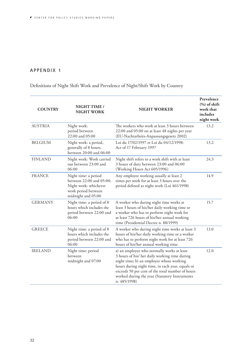## <span id="page-32-0"></span>**APPENDIX 1**

# Definitions of Night Shift Work and Prevalence of Night/Shift Work by Country

| <b>COUNTRY</b> | <b>NIGHT TIME /</b><br><b>NIGHT WORK</b>                                                                               | <b>NIGHT WORKER</b>                                                                                                                                                                                                                                                                                              | Prevalence<br>$(\%)$ of shift<br>work that<br>includes<br>night work |
|----------------|------------------------------------------------------------------------------------------------------------------------|------------------------------------------------------------------------------------------------------------------------------------------------------------------------------------------------------------------------------------------------------------------------------------------------------------------|----------------------------------------------------------------------|
| <b>AUSTRIA</b> | Night work:<br>period between<br>22:00 and 05:00                                                                       | The workers who work at least 3 hours between<br>22:00 and 05:00 on at least 48 nights per year<br>(EU-Nachtarbeits-Anpassungsgesetz 2002)                                                                                                                                                                       | 13.2                                                                 |
| <b>BELGIUM</b> | Night work: a period,<br>generally of 8 hours,<br>between 20:00 and 06:00                                              | Loi du 17/02/1997 et Loi du 04/12/1998:<br>Act of 17 February 1997                                                                                                                                                                                                                                               | 13.2                                                                 |
| <b>FINLAND</b> | Night work: Work carried<br>out between 23:00 and<br>06:00                                                             | Night shift refers to a work shift with at least<br>3 hours of duty between 23:00 and 06:00<br>(Working Hours Act 605/1996)                                                                                                                                                                                      | 24.3                                                                 |
| <b>FRANCE</b>  | Night time: a period<br>between 22:00 and 05:00;<br>Night work: whichever<br>work period between<br>midnight and 05:00 | Any employee working usually at least 2<br>times per week for at least 3 hours over the<br>period defined as night work (Loi 461/1998)                                                                                                                                                                           | 14.9                                                                 |
| <b>GERMANY</b> | Night time: a period of 8<br>hours which includes the<br>period between 22:00 and<br>06:00                             | A worker who during night time works at<br>least 3 hours of his/her daily working time or<br>a worker who has to perform night work for<br>at least 726 hours of his/her annual working<br>time (Presidential Decree n. 88/1999)                                                                                 | 15.7                                                                 |
| <b>GREECE</b>  | Night time: a period of 8<br>hours which includes the<br>period between 22:00 and<br>06:00                             | A worker who during night time works at least 3<br>hours of his/her daily working time or a worker<br>who has to perform night work for at least 726<br>hours of his/her annual working time.                                                                                                                    | 13.0                                                                 |
| <b>IRELAND</b> | Night time: period<br>between<br>midnight and 07:00                                                                    | a) an employee who normally works at least<br>3 hours of his/ her daily working time during<br>night time; b) an employee whose working<br>hours during night time, in each year, equals or<br>exceeds 50 per cent of the total number of hours<br>worked during the year (Statutory Instruments<br>n. 485/1998) | 12.0                                                                 |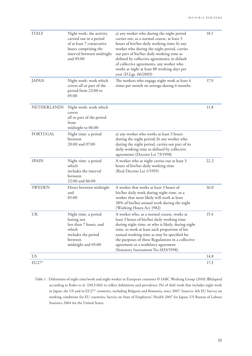| <b>ITALY</b>  | Night work: the activity<br>carried out in a period<br>of at least 7 consecutive<br>hours comprising the<br>interval between midnight<br>and 05:00 | a) any worker who during the night period<br>carries out, as a normal course, at least 3<br>hours of his/her daily working time; b) any<br>worker who during the night period, carries<br>out part of his/her daily working time as<br>defined by collective agreements; in default<br>of collective agreements, any worker who<br>works at night at least 80 working days per<br>year (D.Lgs. 66/2003) | 18.1 |
|---------------|----------------------------------------------------------------------------------------------------------------------------------------------------|---------------------------------------------------------------------------------------------------------------------------------------------------------------------------------------------------------------------------------------------------------------------------------------------------------------------------------------------------------------------------------------------------------|------|
| <b>JAPAN</b>  | Night work: work which<br>covers all or part of the<br>period from 22:00 to<br>05:00                                                               | The workers who engage night work at least 4<br>times per month on average during 6 months.                                                                                                                                                                                                                                                                                                             | 17.9 |
| NETHERLANDS   | Night work: work which<br>covers<br>all or part of the period<br>from<br>midnight to 06:00                                                         |                                                                                                                                                                                                                                                                                                                                                                                                         | 11.8 |
| PORTUGAL      | Night time: a period<br>between<br>20:00 and 07:00                                                                                                 | a) any worker who works at least 3 hours<br>during the night period; b) any worker who<br>during the night period, carries out part of its<br>daily working time as defined by collective<br>agreements (Decreto Lei 73/1998)                                                                                                                                                                           |      |
| <b>SPAIN</b>  | Night time: a period<br>which<br>includes the interval<br>between<br>22:00 and 06:00                                                               | A worker who at night carries out at least 3<br>hours of his/her daily working time<br>(Real Decreto Lei 1/1995)                                                                                                                                                                                                                                                                                        | 22.2 |
| <b>SWEDEN</b> | Hours between midnight<br>and<br>05:00                                                                                                             | A worker that works at least 3 hours of<br>his/her daily work during night time, or a<br>worker that most likely will work at least<br>38% of his/her annual work during the night<br>(Working Hours Act 1982)                                                                                                                                                                                          | 16.0 |
| UK            | Night time: a period<br>lasting not<br>less than 7 hours, and<br>which<br>includes the period<br>between<br>midnight and 05:00                     | A worker who, as a normal course, works at<br>least 3 hours of his/her daily working time<br>during night time, or who is likely, during night<br>time, to work at least such proportion of his<br>annual working time as may be specified for<br>the purposes of these Regulations in a collective<br>agreement or a workforce agreement<br>(Statutory Instrument No.1833/1998).                       | 15.4 |
| <b>US</b>     |                                                                                                                                                    |                                                                                                                                                                                                                                                                                                                                                                                                         | 14.8 |
| EU27*         |                                                                                                                                                    |                                                                                                                                                                                                                                                                                                                                                                                                         | 17.3 |

Table 1 . Definitions of night time/work and night worker in European countries © IARC Working Group (2010). Adapted according to Kubo et al. (2013:166) to reflect definitions and prevalence (%) of shift work that includes night work in Japan, the US and in EU27\* countries, including Bulgaria and Romania, since 2007. Sources: 4th EU Survey on working conditions for EU countries; Survey on State of Employees' Health 2007 for Japan; US Bureau of Labour Statistics 2004 for the United States.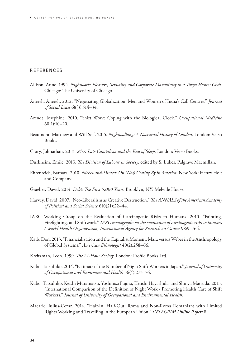### <span id="page-34-0"></span>**REFERENCES**

- Allison, Anne. 1994. *Nightwork: Pleasure, Sexuality and Corporate Masculinity in a Tokyo Hostess Club*. Chicago: The University of Chicago.
- Aneesh, Aneesh. 2012. "Negotiating Globalization: Men and Women of India's Call Centres." *Journal of Social Issues* 68(3):514–34.
- Arendt, Josephine. 2010. "Shift Work: Coping with the Biological Clock." *Occupational Medicine* 60(1):10–20.
- Beaumont, Matthew and Will Self. 2015. *Nightwalking: A Nocturnal History of London*. London: Verso Books.
- Crary, Johnathan. 2013. *24/7: Late Capitalism and the End of Sleep*. London: Verso Books.
- Durkheim, Emile. 2013. *The Division of Labour in Society*. edited by S. Lukes. Palgrave Macmillan.
- Ehrenreich, Barbara. 2010. *Nickel-and-Dimed: On (Not) Getting By in America*. New York: Henry Holt and Company.
- Graeber, David. 2014. *Debt: The First 5,000 Years*. Brooklyn, NY: Melville House.
- Harvey, David. 2007. "Neo-Liberalism as Creative Destruction." *The ANNALS of the American Academy of Political and Social Science* 610(21):22–44.
- IARC Working Group on the Evaluation of Carcinogenic Risks to Humans. 2010. "Painting, Firefighting, and Shiftwork." *IARC monographs on the evaluation of carcinogenic risks to humans / World Health Organization, International Agency for Research on Cancer* 98:9–764.
- Kalb, Don. 2013. "Financialization and the Capitalist Moment: Marx versus Weber in the Anthropology of Global Systems." *American Ethnologist* 40(2):258–66.
- Kreitzman, Leon. 1999. *The 24-Hour Society*. London: Profile Books Ltd.
- Kubo, Tatsuhiko. 2014. "Estimate of the Number of Night Shift Workers in Japan." *Journal of University of Occupational and Environmental Health* 36(4):273–76.
- Kubo, Tatsuhiko, Keishi Muramatsu, Yoshihisa Fujino, Kenshi Hayashida, and Shinya Matsuda. 2013. "International Comparison of the Definition of Night Work - Promoting Health Care of Shift Workers." *Journal of University of Occupational and Environmental Health*.
- Macarie, Iulius-Cezar. 2014. "Half-In, Half-Out: Roma and Non-Roma Romanians with Limited Rights Working and Travelling in the European Union." *INTEGRIM Online Papers* 8.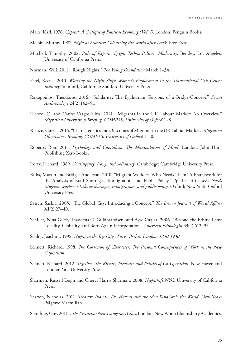Marx, Karl. 1976. *Capital: A Critique of Political Economy (Vol. I)*. London: Penguin Books.

- Melbin, Murray. 1987. *Night as Frontier: Colonizing the World after Dark*. Free Press.
- Mitchell, Timothy. 2002. *Rule of Experts: Egypt, Techno-Politics, Modernity*. Berkley, Los Angeles: University of California Press.
- Norman, Will. 2011. "Rough Nights." *The Young Foundation* March:1–34.
- Patel, Reena. 2010. *Working the Night Shift: Women's Employment in the Transnational Call Center Industry*. Stanford, California: Stanford University Press.
- Rakopoulos, Theodoros. 2016. "Solidarity: The Egalitarian Tensions of a Bridge-Concept." *Social Anthropology* 24(2):142–51.
- Rienzo, C. and Carlos Vargos-Silva. 2014. "Migrants in the UK Labour Market: An Overview." *Migration Observatory Briefing, COMPAS, University of Oxford* 1–8.
- Rienzo, Cinzia. 2016. "Characteristics and Outcomes of Migrants in the UK Labour Market." *Migration Observatory Briefing, COMPAS, University of Oxford* 1–10.
- Roberts, Ron. 2015. *Psychology and Capitalism: The Manipulation of Mind*. London: John Hunt Publishing Zero Books.
- Rorty, Richard. 1989. *Contingency, Irony, and Solidarity*. Cambridge: Cambridge University Press.
- Ruhs, Martin and Bridget Anderson. 2010. "Migrant Workers: Who Needs Them? A Framework for the Analysis of Staff Shortages, Immigration, and Public Policy." Pp. 15–53 in *Who Needs Migrant Workers?: Labour shortages, immigration, and public policy.* Oxford; New York: Oxford University Press.
- Sassen, Saskia. 2005. "The Global City: Introducing a Concept." *The Brown Journal of World Affairs*  $XI(2):27-40.$
- Schiller, Nina Glick, Thaddeus C. Guldbrandsen, and Ayse Caglar. 2006. "Beyond the Ethnic Lens: Locality, Globality, and Born-Again Incorporation." *American Ethnologist* 33(4):612–33.
- Schlör, Joachim. 1998. *Nights in the Big City : Paris, Berlin, London, 1840-1930*.
- Sennett, Richard. 1998. *The Corrosion of Character: The Personal Consequences of Work in the New Capitalism*.
- Sennett, Richard. 2012. *Together: The Rituals, Pleasures and Politics of Co-Operation*. New Haven and London: Yale University Press.
- Sharman, Russell Leigh and Cheryl Harris Sharman. 2008. *Nightshift NYC*. University of California Press.
- Shaxon, Nicholas. 2011. *Treasure Islands: Tax Havens and the Men Who Stole the World*. New York: Palgrave Macmillan.
- Standing, Guy. 2011a. *The Precariat: New Dangerous Class*. London, New Work: Bloomsbury Academics.